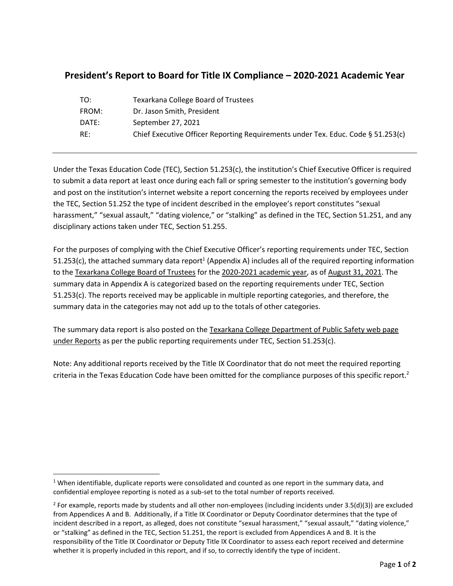## **President's Report to Board for Title IX Compliance – 2020-2021 Academic Year**

| TO:   | <b>Texarkana College Board of Trustees</b>                                       |
|-------|----------------------------------------------------------------------------------|
| FROM: | Dr. Jason Smith, President                                                       |
| DATE: | September 27, 2021                                                               |
| RE:   | Chief Executive Officer Reporting Requirements under Tex. Educ. Code § 51.253(c) |
|       |                                                                                  |

Under the Texas Education Code (TEC), Section 51.253(c), the institution's Chief Executive Officer is required to submit a data report at least once during each fall or spring semester to the institution's governing body and post on the institution's internet website a report concerning the reports received by employees under the TEC, Section 51.252 the type of incident described in the employee's report constitutes "sexual harassment," "sexual assault," "dating violence," or "stalking" as defined in the TEC, Section 51.251, and any disciplinary actions taken under TEC, Section 51.255.

For the purposes of complying with the Chief Executive Officer's reporting requirements under TEC, Section 51.253(c), the attached summary data report<sup>1</sup> (Appendix A) includes all of the required reporting information to the Texarkana College Board of Trustees for the 2020-2021 academic year, as of August 31, 2021. The summary data in Appendix A is categorized based on the reporting requirements under TEC, Section 51.253(c). The reports received may be applicable in multiple reporting categories, and therefore, the summary data in the categories may not add up to the totals of other categories.

The summary data report is also posted on the Texarkana College Department of Public Safety web page under Reports as per the public reporting requirements under TEC, Section 51.253(c).

Note: Any additional reports received by the Title IX Coordinator that do not meet the required reporting criteria in the Texas Education Code have been omitted for the compliance purposes of this specific report.<sup>2</sup>

 $1$  When identifiable, duplicate reports were consolidated and counted as one report in the summary data, and confidential employee reporting is noted as a sub-set to the total number of reports received.

<sup>&</sup>lt;sup>2</sup> For example, reports made by students and all other non-employees (including incidents under 3.5(d)(3)) are excluded from Appendices A and B. Additionally, if a Title IX Coordinator or Deputy Coordinator determines that the type of incident described in a report, as alleged, does not constitute "sexual harassment," "sexual assault," "dating violence," or "stalking" as defined in the TEC, Section 51.251, the report is excluded from Appendices A and B. It is the responsibility of the Title IX Coordinator or Deputy Title IX Coordinator to assess each report received and determine whether it is properly included in this report, and if so, to correctly identify the type of incident.